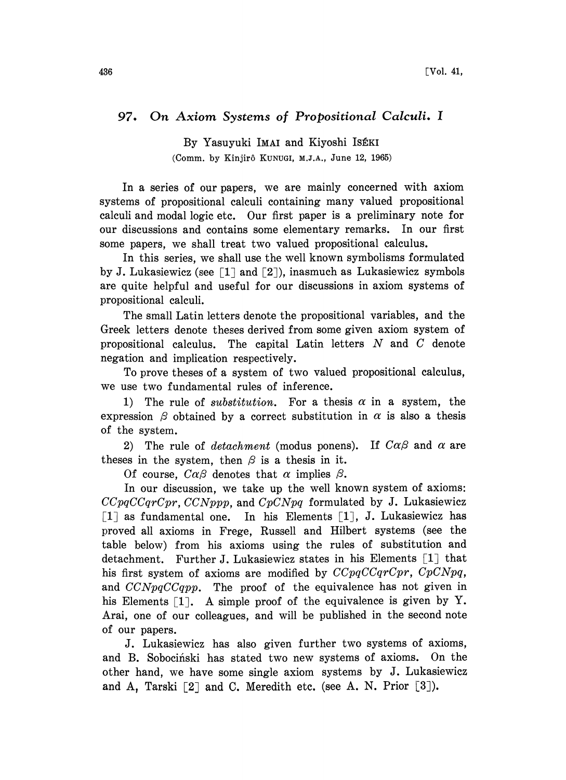## 97. On Axiom Systems of Propositional Calculi. <sup>I</sup>

By Yasuyuki IMAI and Kiyoshi ISEKI (Comm. by Kinjir6 KUNUGI, M.I.A., June 12, 1965)

In a series of our papers, we are mainly concerned with axiom systems of propositional calculi containing many valued propositional calculi and modal logic etc. Our first paper is a preliminary note for our discussions and contains some elementary remarks. In our first some papers, we shall treat two valued propositional calculus.

In this series, we shall use the well known symbolisms formulated by J. Lukasiewicz (see  $\lceil 1 \rceil$  and  $\lceil 2 \rceil$ ), inasmuch as Lukasiewicz symbols are quite helpful and useful for our discussions in axiom systems of propositional calculi.

The small Latin letters denote the propositional variables, and the Greek letters denote theses derived from some given axiom system of propositional calculus. The capital Latin letters  $N$  and  $C$  denote negation and implication respectively.

To prove theses of a system of two valued propositional calculus, we use two fundamental rules of inference.

1) The rule of *substitution*. For a thesis  $\alpha$  in a system, the expression  $\beta$  obtained by a correct substitution in  $\alpha$  is also a thesis of the system.

2) The rule of *detachment* (modus ponens). If  $C\alpha\beta$  and  $\alpha$  are theses in the system, then  $\beta$  is a thesis in it.

Of course,  $C\alpha\beta$  denotes that  $\alpha$  implies  $\beta$ .

In our discussion, we take up the well known system of axioms:  $CCpqCCqrCpr, CCNppp$ , and  $CpCNpq$  formulated by J. Lukasiewicz  $\lceil 1 \rceil$  as fundamental one. In his Elements  $\lceil 1 \rceil$ , J. Lukasiewicz has proved all axioms in Frege, Russell and Hilbert systems (see the table below) from his axioms using the rules of substitution and detachment. Further J. Lukasiewicz states in his Elements  $[1]$  that his first system of axioms are modified by  $CCpqCCqrCpr$ ,  $CpCNpq$ , and  $CCNpqCCqpp$ . The proof of the equivalence has not given in his Elements  $\lceil 1 \rceil$ . A simple proof of the equivalence is given by Y. Arai, one of our colleagues, and will be published in the second note of our papers.

J. Lukasiewicz has also given further two systems of axioms, and B. Sobocinski has stated two new systems of axioms. On the other hand, we have some single axiom systems by J. Lukasiewicz and A, Tarski  $[2]$  and C. Meredith etc. (see A. N. Prior  $[3]$ ).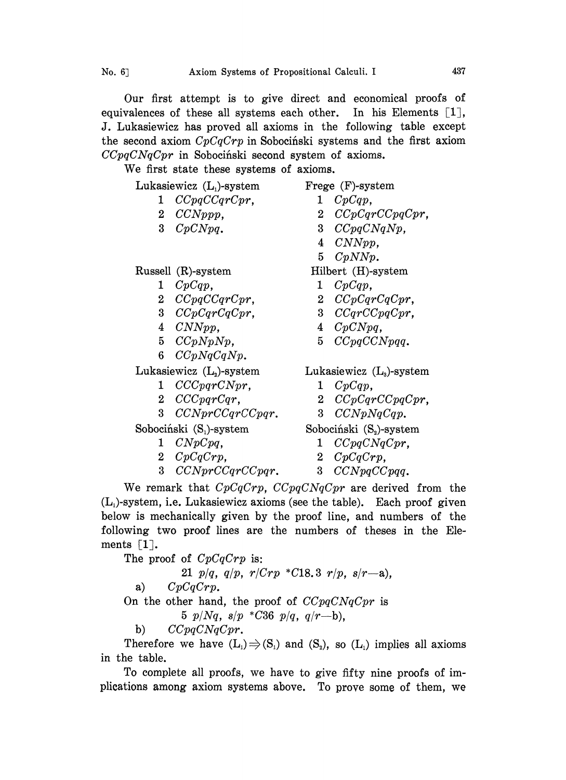Our first attempt is to give direct and economical proofs of equivalences of these all systems each other. In his Elements  $[1]$ , J. Lukasiewicz has proved all axioms in the following table except the second axiom  $CpCqCrp$  in Sobocinski systems and the first axiom  $CCpqCNGCpr$  in Sobociński second system of axioms.

We first state these systems of axioms.

Lukasiewicz (L)-system

- 1 CCpqCCqrCpr,
- 2 CCNppp,
- 3 CpCNpq.

Russell (R)-system

- $1 \quad CpCap,$
- 2 CCpqCCqrCpr,
- 3 CCpCqrCqCpr,
- 4 CNNpp,
- $5$   $CCpNpNp$ ,
- 6  $CCpNqCqNp$ .

Lukasiewicz  $(L)$ -system

- 1 CCCpqrCNpr,
- 2 CCCpqrCqr,
- 3 CCNprCCqrCCpqr.

Sobocihski (S)-system

- <sup>1</sup> CNpCpq,
- 2 CpCqCrp,
- 3 CCNprCCqrCCpqr.
- Frege (F)-system
	- $1 \quad CpCap,$
	- 2 CCpCqrCCpqCpr,
	- 3 CCpqCNqNp,
	- 4 CNNpp,
	- <sup>5</sup> CpNNp.

Hilbert (H)-system

- $1 \quad CpCqp,$
- 2 CCpCqrCqCpr,
- 3 CCqrCCpqCpr,
- 4 CpCNpq,
- 5 CCpqCCNpqq.

Lukasiewicz  $(L<sub>3</sub>)$ -system

- $1 \quad CpCqp,$
- 2 CCpCqrCCpqCpr,
- 3 CCNpNqCqp.

Sobociński (S<sub>2</sub>)-system

- <sup>1</sup> CCpqCNqCpr,
- 2 CpCqCrp,
- 3 CCNpqCCpqq.

We remark that  $CpCqCrp$ ,  $CCpqCNgCpr$  are derived from the  $(L<sub>1</sub>)$ -system, i.e. Lukasiewicz axioms (see the table). Each proof given below is mechanically given by the proof line, and numbers of the following two proof lines are the numbers of theses in the Elements  $\lceil 1 \rceil$ .

The proof of  $CpCqCrp$  is:

21  $p/q$ ,  $q/p$ ,  $r/Crp$  \*C18.3  $r/p$ ,  $s/r-a$ ), a)  $CpCqCrp$ . On the other hand, the proof of  $CCpqCNqCpr$  is 5  $p/Nq$ ,  $s/p$  \*C36  $p/q$ ,  $q/r-b$ ), b)  $CCpqCNqCpr$ .

Therefore we have  $(L_1) \Rightarrow (S_1)$  and  $(S_2)$ , so  $(L_1)$  implies all axioms in the table.

To complete all proofs, we have to give fifty nine proofs of implications among axiom systems above. To prove some of them, we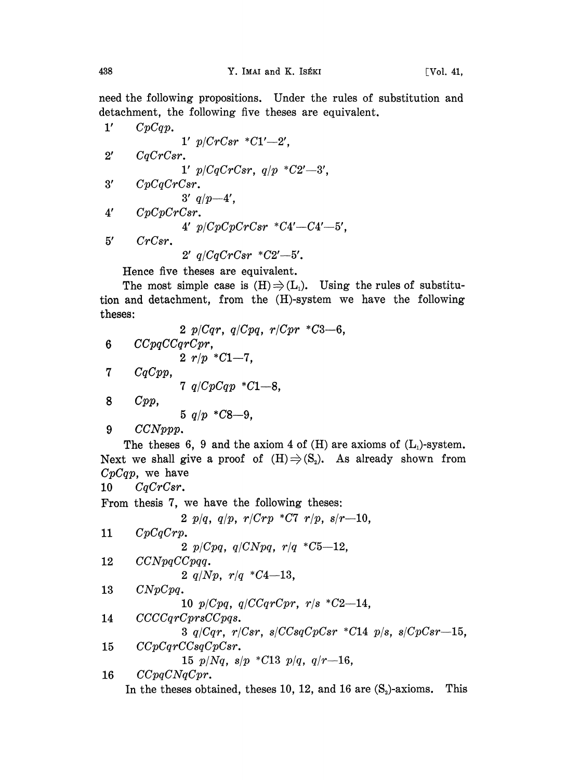need the following propositions. Under the rules of substitution and detachment, the following five theses are equivalent.

1' 
$$
CpCqp
$$
.  
\n2'  $CqCrCsr$ .  
\n3'  $CqCrCsr$ .  
\n4'  $p/CqCrCsr$ ,  $q/p *C2'$ —3',  
\n5'  $CpCqCrCsr$ .  
\n6'  $q/p-4'$ ,  
\n7'  $CpCpCrCsr$ .  
\n8'  $p/CDpCrCsr *C4'$ —6',  
\n9'  $q/CqCrCsr *C2'$ —5'.

Hence five theses are equivalent.

The most simple case is  $(H) \Rightarrow (L_1)$ . Using the rules of substitution and detachment, from the (H)-system we have the following theses:

2 
$$
p/Cqr
$$
,  $q/Cpq$ ,  $r/Cpr * C3-6$ ,  
\n6  $CCpqCCqrCpr$ ,  
\n7  $q/CpCqp * C1-8$ ,  
\n8  $Cpp$ ,  
\n9  $CCNppp$ .  
\n10  $q/CpCqp * C1-8$ ,  
\n11  $q/CpCqp$  (L1)  $q/Cp$  (L1)  $q/Cp$  (L2)  $q/Cp$  (L1) -  
\nNext we shall give a proof of  $(H) \Rightarrow (S_2)$ . As already shown from  
\n $CpCqr$ , we have  
\n10  $CqCrCsr$ .  
\nFrom thesis 7, we have the following these:  
\n2  $p/q$ ,  $q/p$ ,  $r/Crp * C7$   $r/p$ ,  $s/r-10$ ,  
\n11  $CpCqCrp$ .  
\n2  $p(Cpq$ ,  $q/CNpq$ ,  $r/q * C5-12$ ,  
\n12  $CCNpqCCpqq$ .  
\n2  $q/Np$ ,  $r/q * C4-13$ ,  
\n13  $CNpCpq$ .  
\n10  $p/Cpq$ ,  $q/Cqrcpr$ ,  $r/s * C2-14$ ,  
\n14  $CCCCqrCprsCpps$ .  
\n15  $p/Nq$ ,  $s/p$  (C13  $p/q$ ,  $q/r-16$ ,  
\n16  $CCpqCNGpr$ .  
\n17  $p/Cpq$ ,  $q/CqT$  (L13  $p/q$ ,  $q/r-16$ ,  
\n18  $CCpqCNgCpr$ .  
\n19  $p/Cpq$ ,  $q/cp/Csr$ ,  
\n10  $p/CpT$ .  
\n11  $p/Cpq$ ,  $q/CqT$  (L13  $p/q$ ,  $q/r-16$ ,  
\n12  $CpqCNqCrr$ .  
\n13  $p/Nq$ ,  $s/p$  (L13  $p/q$ ,  $q/r-16$ ,  
\n14  $CCpqCNqCrr$ .  
\